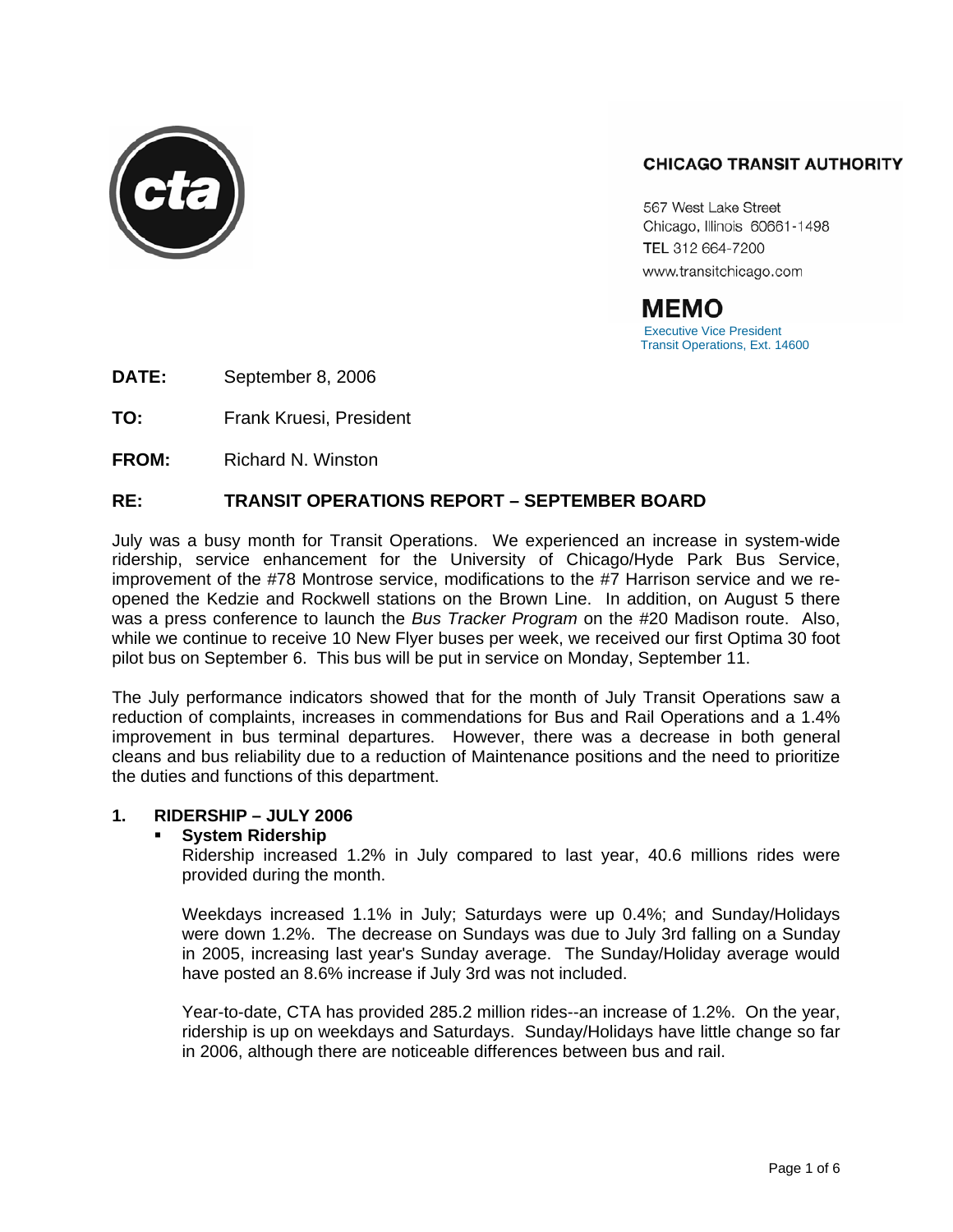

# **CHICAGO TRANSIT AUTHORITY**

567 West Lake Street Chicago, Illinois 60661-1498 TEL 312 664-7200 www.transitchicago.com

MEMO<br>Executive Vice President<br>Transit Operations, Ext. 14600

**DATE:** September 8, 2006

**TO:** Frank Kruesi, President

**FROM:** Richard N. Winston

# **RE: TRANSIT OPERATIONS REPORT – SEPTEMBER BOARD**

July was a busy month for Transit Operations. We experienced an increase in system-wide ridership, service enhancement for the University of Chicago/Hyde Park Bus Service, improvement of the #78 Montrose service, modifications to the #7 Harrison service and we reopened the Kedzie and Rockwell stations on the Brown Line. In addition, on August 5 there was a press conference to launch the *Bus Tracker Program* on the #20 Madison route. Also, while we continue to receive 10 New Flyer buses per week, we received our first Optima 30 foot pilot bus on September 6. This bus will be put in service on Monday, September 11.

The July performance indicators showed that for the month of July Transit Operations saw a reduction of complaints, increases in commendations for Bus and Rail Operations and a 1.4% improvement in bus terminal departures. However, there was a decrease in both general cleans and bus reliability due to a reduction of Maintenance positions and the need to prioritize the duties and functions of this department.

#### **1. RIDERSHIP – JULY 2006**

#### **System Ridership**

Ridership increased 1.2% in July compared to last year, 40.6 millions rides were provided during the month.

Weekdays increased 1.1% in July; Saturdays were up 0.4%; and Sunday/Holidays were down 1.2%. The decrease on Sundays was due to July 3rd falling on a Sunday in 2005, increasing last year's Sunday average. The Sunday/Holiday average would have posted an 8.6% increase if July 3rd was not included.

Year-to-date, CTA has provided 285.2 million rides--an increase of 1.2%. On the year, ridership is up on weekdays and Saturdays. Sunday/Holidays have little change so far in 2006, although there are noticeable differences between bus and rail.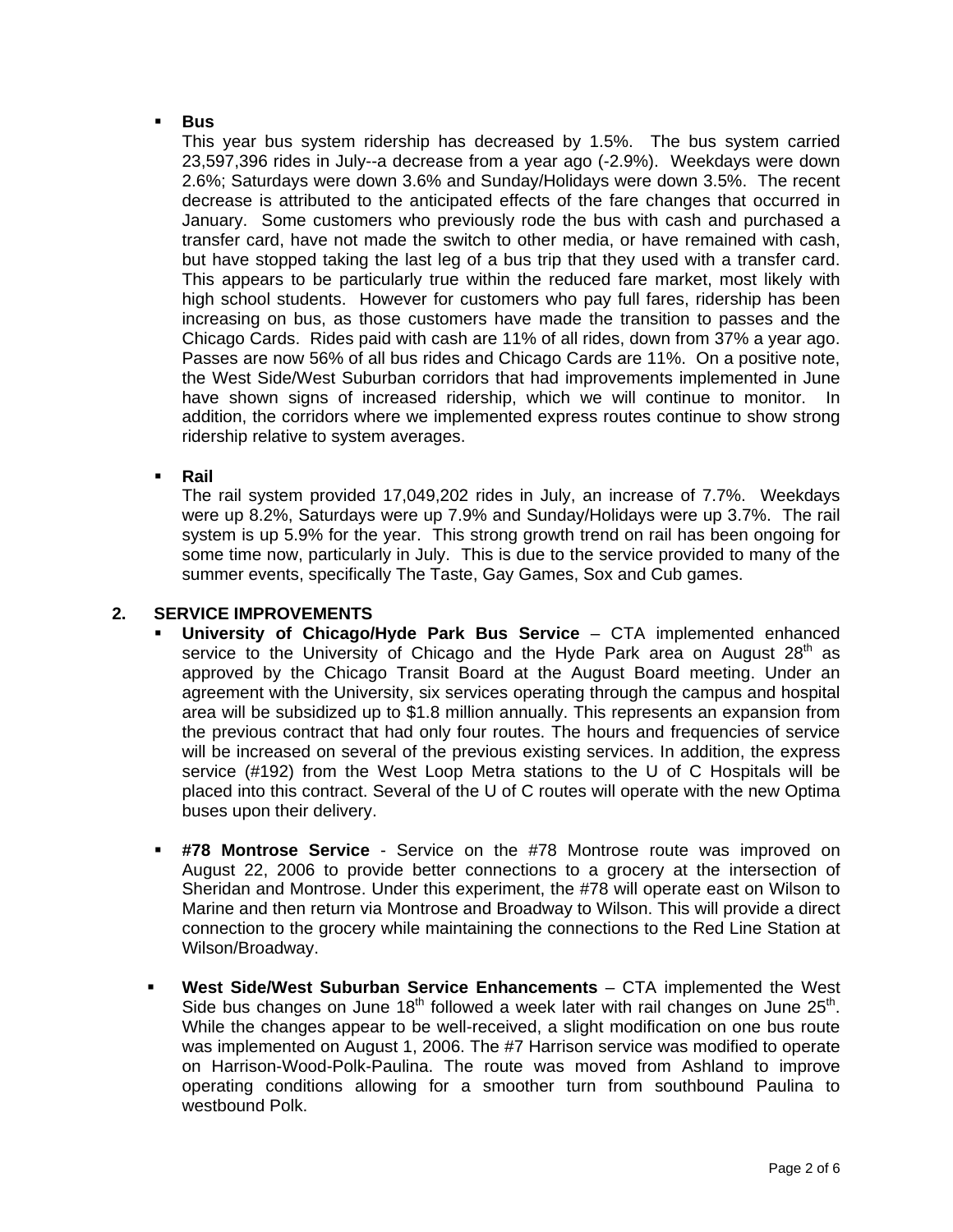#### **Bus**

This year bus system ridership has decreased by 1.5%. The bus system carried 23,597,396 rides in July--a decrease from a year ago (-2.9%). Weekdays were down 2.6%; Saturdays were down 3.6% and Sunday/Holidays were down 3.5%. The recent decrease is attributed to the anticipated effects of the fare changes that occurred in January. Some customers who previously rode the bus with cash and purchased a transfer card, have not made the switch to other media, or have remained with cash, but have stopped taking the last leg of a bus trip that they used with a transfer card. This appears to be particularly true within the reduced fare market, most likely with high school students. However for customers who pay full fares, ridership has been increasing on bus, as those customers have made the transition to passes and the Chicago Cards. Rides paid with cash are 11% of all rides, down from 37% a year ago. Passes are now 56% of all bus rides and Chicago Cards are 11%. On a positive note, the West Side/West Suburban corridors that had improvements implemented in June have shown signs of increased ridership, which we will continue to monitor. addition, the corridors where we implemented express routes continue to show strong ridership relative to system averages.

**Rail** 

The rail system provided 17,049,202 rides in July, an increase of 7.7%. Weekdays were up 8.2%, Saturdays were up 7.9% and Sunday/Holidays were up 3.7%. The rail system is up 5.9% for the year. This strong growth trend on rail has been ongoing for some time now, particularly in July. This is due to the service provided to many of the summer events, specifically The Taste, Gay Games, Sox and Cub games.

### **2. SERVICE IMPROVEMENTS**

- **University of Chicago/Hyde Park Bus Service**  CTA implemented enhanced service to the University of Chicago and the Hyde Park area on August  $28<sup>th</sup>$  as approved by the Chicago Transit Board at the August Board meeting. Under an agreement with the University, six services operating through the campus and hospital area will be subsidized up to \$1.8 million annually. This represents an expansion from the previous contract that had only four routes. The hours and frequencies of service will be increased on several of the previous existing services. In addition, the express service (#192) from the West Loop Metra stations to the U of C Hospitals will be placed into this contract. Several of the U of C routes will operate with the new Optima buses upon their delivery.
- **#78 Montrose Service** Service on the #78 Montrose route was improved on August 22, 2006 to provide better connections to a grocery at the intersection of Sheridan and Montrose. Under this experiment, the #78 will operate east on Wilson to Marine and then return via Montrose and Broadway to Wilson. This will provide a direct connection to the grocery while maintaining the connections to the Red Line Station at Wilson/Broadway.
- **West Side/West Suburban Service Enhancements** *–* CTA implemented the West Side bus changes on June 18<sup>th</sup> followed a week later with rail changes on June 25<sup>th</sup>. While the changes appear to be well-received, a slight modification on one bus route was implemented on August 1, 2006. The #7 Harrison service was modified to operate on Harrison-Wood-Polk-Paulina. The route was moved from Ashland to improve operating conditions allowing for a smoother turn from southbound Paulina to westbound Polk.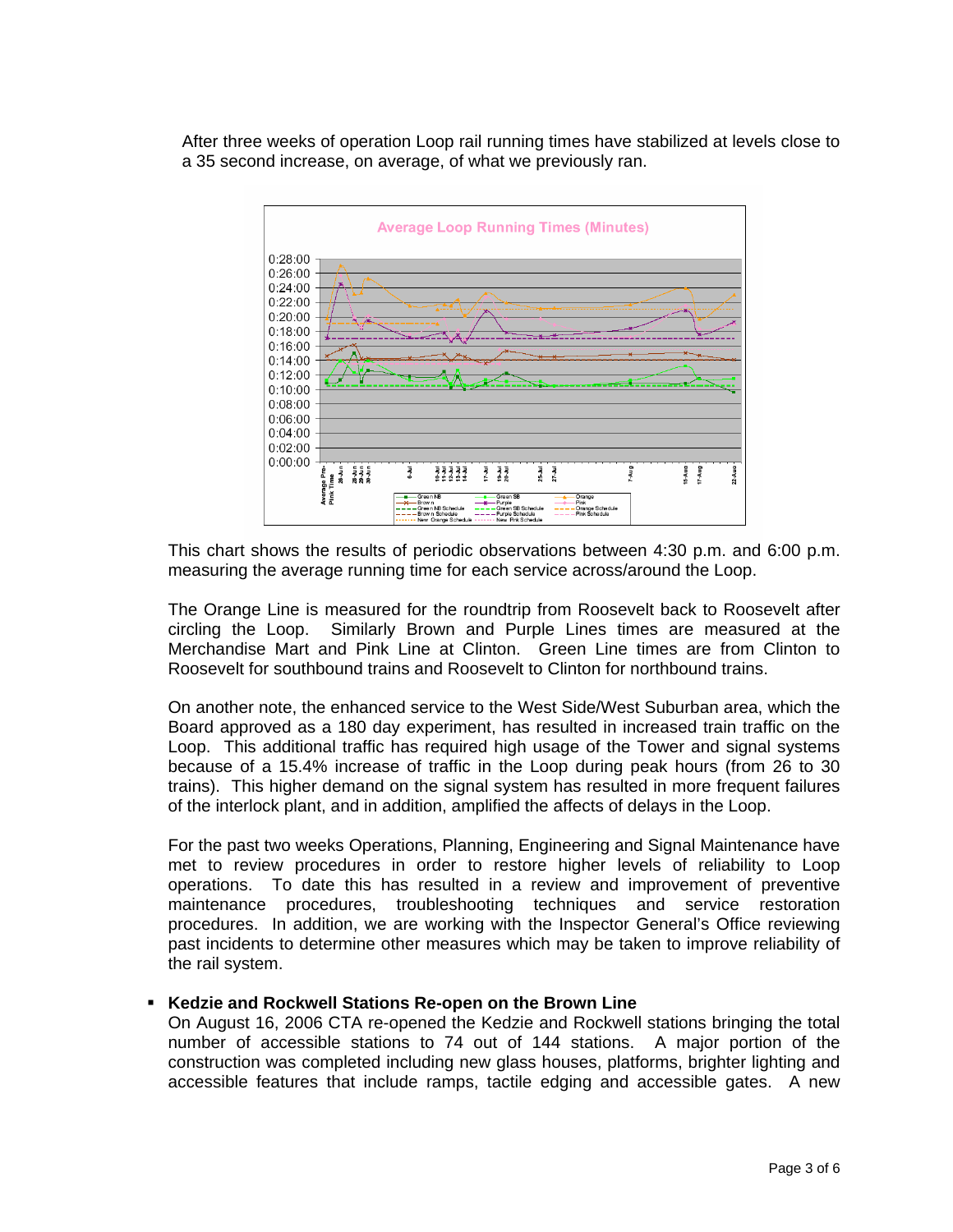After three weeks of operation Loop rail running times have stabilized at levels close to a 35 second increase, on average, of what we previously ran.



This chart shows the results of periodic observations between 4:30 p.m. and 6:00 p.m. measuring the average running time for each service across/around the Loop.

The Orange Line is measured for the roundtrip from Roosevelt back to Roosevelt after circling the Loop. Similarly Brown and Purple Lines times are measured at the Merchandise Mart and Pink Line at Clinton. Green Line times are from Clinton to Roosevelt for southbound trains and Roosevelt to Clinton for northbound trains.

On another note, the enhanced service to the West Side/West Suburban area, which the Board approved as a 180 day experiment, has resulted in increased train traffic on the Loop. This additional traffic has required high usage of the Tower and signal systems because of a 15.4% increase of traffic in the Loop during peak hours (from 26 to 30 trains). This higher demand on the signal system has resulted in more frequent failures of the interlock plant, and in addition, amplified the affects of delays in the Loop.

For the past two weeks Operations, Planning, Engineering and Signal Maintenance have met to review procedures in order to restore higher levels of reliability to Loop operations. To date this has resulted in a review and improvement of preventive maintenance procedures, troubleshooting techniques and service restoration procedures. In addition, we are working with the Inspector General's Office reviewing past incidents to determine other measures which may be taken to improve reliability of the rail system.

#### **Kedzie and Rockwell Stations Re-open on the Brown Line**

On August 16, 2006 CTA re-opened the Kedzie and Rockwell stations bringing the total number of accessible stations to 74 out of 144 stations. A major portion of the construction was completed including new glass houses, platforms, brighter lighting and accessible features that include ramps, tactile edging and accessible gates. A new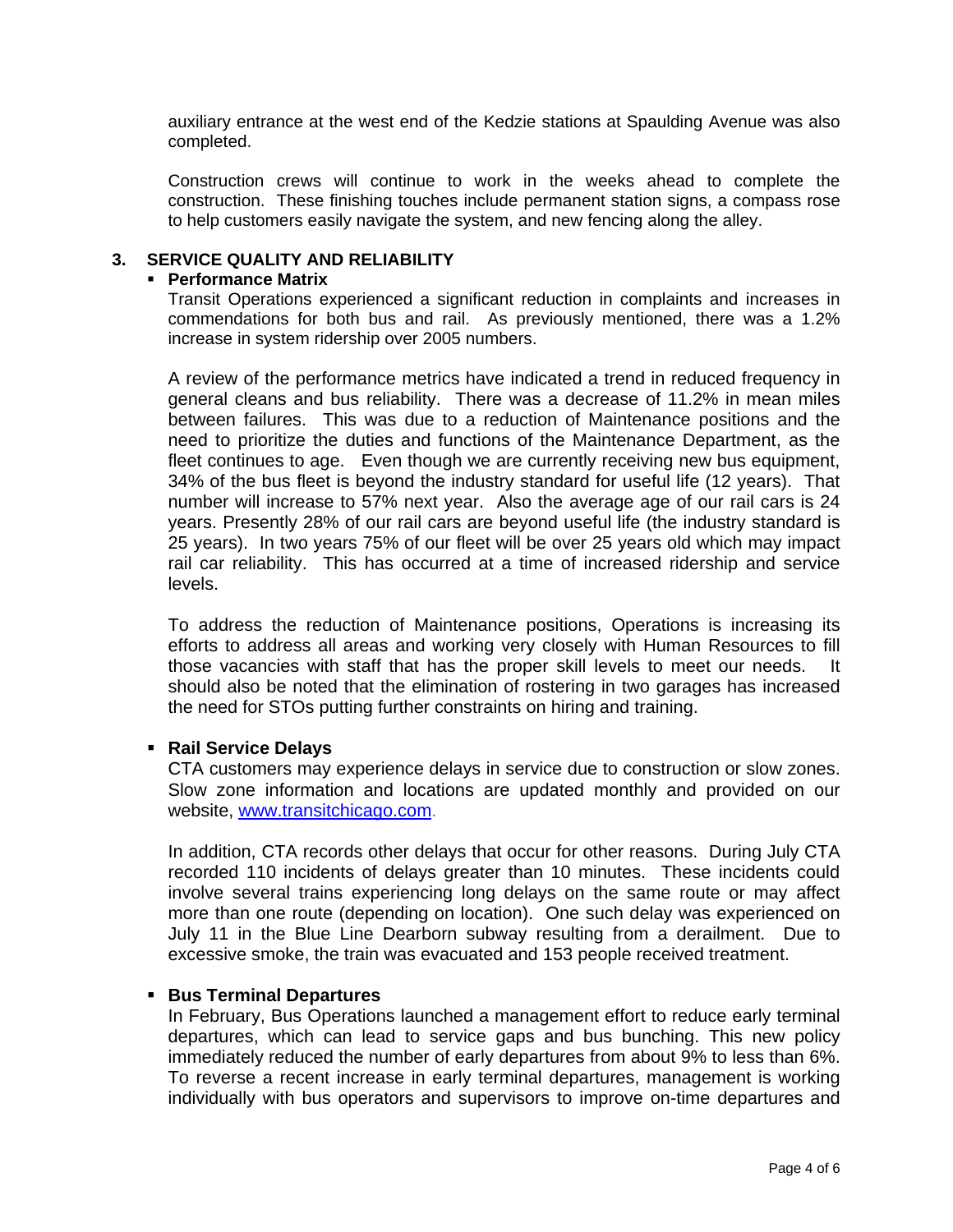auxiliary entrance at the west end of the Kedzie stations at Spaulding Avenue was also completed.

Construction crews will continue to work in the weeks ahead to complete the construction. These finishing touches include permanent station signs, a compass rose to help customers easily navigate the system, and new fencing along the alley.

### **3. SERVICE QUALITY AND RELIABILITY**

#### **Performance Matrix**

Transit Operations experienced a significant reduction in complaints and increases in commendations for both bus and rail. As previously mentioned, there was a 1.2% increase in system ridership over 2005 numbers.

A review of the performance metrics have indicated a trend in reduced frequency in general cleans and bus reliability. There was a decrease of 11.2% in mean miles between failures. This was due to a reduction of Maintenance positions and the need to prioritize the duties and functions of the Maintenance Department, as the fleet continues to age. Even though we are currently receiving new bus equipment, 34% of the bus fleet is beyond the industry standard for useful life (12 years). That number will increase to 57% next year. Also the average age of our rail cars is 24 years. Presently 28% of our rail cars are beyond useful life (the industry standard is 25 years). In two years 75% of our fleet will be over 25 years old which may impact rail car reliability. This has occurred at a time of increased ridership and service levels.

To address the reduction of Maintenance positions, Operations is increasing its efforts to address all areas and working very closely with Human Resources to fill those vacancies with staff that has the proper skill levels to meet our needs. It should also be noted that the elimination of rostering in two garages has increased the need for STOs putting further constraints on hiring and training.

#### **Rail Service Delays**

CTA customers may experience delays in service due to construction or slow zones. Slow zone information and locations are updated monthly and provided on our website, www.transitchicago.com.

In addition, CTA records other delays that occur for other reasons. During July CTA recorded 110 incidents of delays greater than 10 minutes. These incidents could involve several trains experiencing long delays on the same route or may affect more than one route (depending on location). One such delay was experienced on July 11 in the Blue Line Dearborn subway resulting from a derailment. Due to excessive smoke, the train was evacuated and 153 people received treatment.

#### **Bus Terminal Departures**

In February, Bus Operations launched a management effort to reduce early terminal departures, which can lead to service gaps and bus bunching. This new policy immediately reduced the number of early departures from about 9% to less than 6%. To reverse a recent increase in early terminal departures, management is working individually with bus operators and supervisors to improve on-time departures and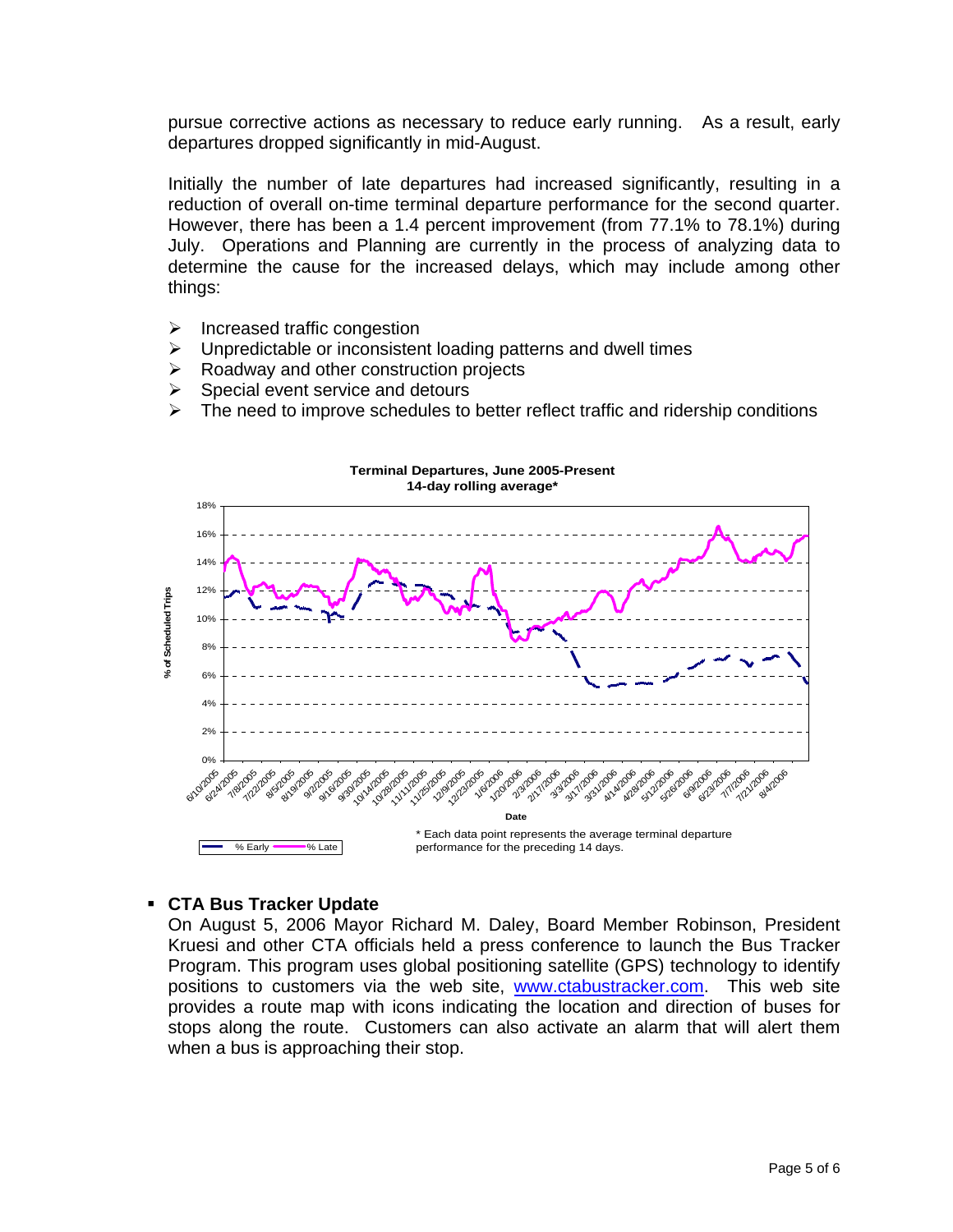pursue corrective actions as necessary to reduce early running. As a result, early departures dropped significantly in mid-August.

Initially the number of late departures had increased significantly, resulting in a reduction of overall on-time terminal departure performance for the second quarter. However, there has been a 1.4 percent improvement (from 77.1% to 78.1%) during July. Operations and Planning are currently in the process of analyzing data to determine the cause for the increased delays, which may include among other things:

- $\triangleright$  Increased traffic congestion
- $\triangleright$  Unpredictable or inconsistent loading patterns and dwell times
- $\triangleright$  Roadway and other construction projects
- $\triangleright$  Special event service and detours
- $\triangleright$  The need to improve schedules to better reflect traffic and ridership conditions



### **CTA Bus Tracker Update**

On August 5, 2006 Mayor Richard M. Daley, Board Member Robinson, President Kruesi and other CTA officials held a press conference to launch the Bus Tracker Program. This program uses global positioning satellite (GPS) technology to identify positions to customers via the web site, www.ctabustracker.com. This web site provides a route map with icons indicating the location and direction of buses for stops along the route. Customers can also activate an alarm that will alert them when a bus is approaching their stop.